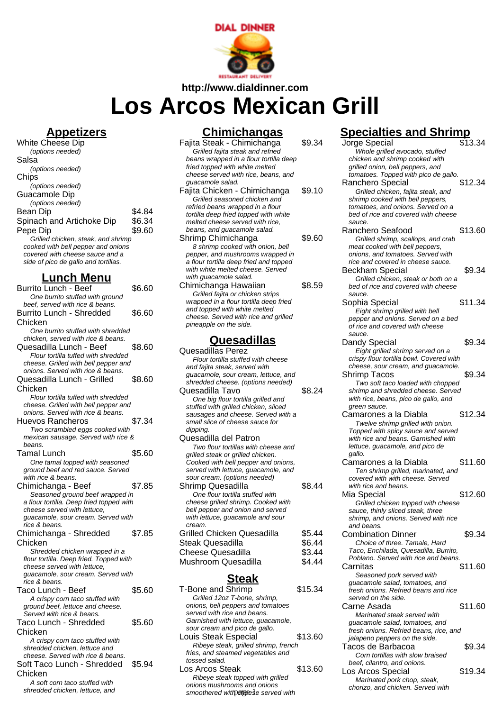

**http://www.dialdinner.com**

# **Los Arcos Mexican Grill**

#### **Appetizers**

| White Cheese Dip                     |        |
|--------------------------------------|--------|
| (options needed)                     |        |
| Salsa                                |        |
| (options needed)                     |        |
| Chips                                |        |
| (options needed)                     |        |
| Guacamole Dip                        |        |
| (options needed)                     |        |
| Bean Dip                             | \$4.84 |
| Spinach and Artichoke Dip            | \$6.34 |
| Pepe Dip                             | \$9.60 |
| Grilled chicken, steak, and shrimp   |        |
| cooked with bell pepper and onions   |        |
| covered with cheese sauce and a      |        |
| side of pico de gallo and tortillas. |        |

### **Lunch Menu**

| <b>Burrito Lunch - Beef</b>              | \$6.60 |
|------------------------------------------|--------|
| One burrito stuffed with ground          |        |
| beef, served with rice & beans.          |        |
| <b>Burrito Lunch - Shredded</b>          | \$6.60 |
| Chicken                                  |        |
| One burrito stuffed with shredded        |        |
| chicken, served with rice & beans.       |        |
| Quesadilla Lunch - Beef                  | \$8.60 |
| Flour tortilla tuffed with shredded      |        |
| cheese. Grilled with bell pepper and     |        |
| onions. Served with rice & beans.        |        |
| Quesadilla Lunch - Grilled               | \$8.60 |
| Chicken                                  |        |
| Flour tortilla tuffed with shredded      |        |
| cheese. Grilled with bell pepper and     |        |
| onions. Served with rice & beans.        |        |
| Huevos Rancheros                         | \$7.34 |
| Two scrambled eggs cooked with           |        |
| mexican sausage. Served with rice &      |        |
| beans.                                   |        |
| Tamal Lunch                              | \$5.60 |
| One tamal topped with seasoned           |        |
| ground beef and red sauce. Served        |        |
| with rice & beans.                       |        |
| Chimichanga - Beef                       | \$7.85 |
| Seasoned ground beef wrapped in          |        |
| a flour tortilla. Deep fried topped with |        |
| cheese served with lettuce,              |        |
| guacamole, sour cream. Served with       |        |
| rice & beans.                            |        |
| Chimichanga - Shredded                   | \$7.85 |
| Chicken                                  |        |
| Shredded chicken wrapped in a            |        |
| flour tortilla. Deep fried. Topped with  |        |
| cheese served with lettuce.              |        |
| guacamole, sour cream. Served with       |        |
| rice & beans.                            |        |
| Taco Lunch - Beef                        | \$5.60 |
| A crispy corn taco stuffed with          |        |
| ground beef, lettuce and cheese.         |        |
| Served with rice & beans.                |        |
| Taco Lunch - Shredded                    | \$5.60 |
| Chicken                                  |        |
| A crispy corn taco stuffed with          |        |
| shredded chicken, lettuce and            |        |
| cheese. Served with rice & beans.        |        |
| Soft Taco Lunch - Shredded               | \$5.94 |
| Chicken                                  |        |
| A soft corn taco stuffed with            |        |
| shredded chicken, lettuce, and           |        |

### **Chimichangas**

| <u>Chimichangas</u>                                                                                                                                                                                                                                                                                                                                                                          |                                      |
|----------------------------------------------------------------------------------------------------------------------------------------------------------------------------------------------------------------------------------------------------------------------------------------------------------------------------------------------------------------------------------------------|--------------------------------------|
| Fajita Steak - Chimichanga<br>Grilled fajita steak and refried                                                                                                                                                                                                                                                                                                                               | \$9.34                               |
| beans wrapped in a flour tortilla deep<br>fried topped with white melted                                                                                                                                                                                                                                                                                                                     |                                      |
| cheese served with rice, beans, and<br>guacamole salad.                                                                                                                                                                                                                                                                                                                                      |                                      |
| Fajita Chicken - Chimichanga<br>Grilled seasoned chicken and<br>refried beans wrapped in a flour<br>tortilla deep fried topped with white<br>melted cheese served with rice,                                                                                                                                                                                                                 | \$9.10                               |
| beans, and guacamole salad.<br>Shrimp Chimichanga                                                                                                                                                                                                                                                                                                                                            |                                      |
| 8 shrimp cooked with onion, bell<br>pepper, and mushrooms wrapped in<br>a flour tortilla deep fried and topped<br>with white melted cheese. Served<br>with guacamole salad.                                                                                                                                                                                                                  | \$9.60                               |
| Chimichanga Hawaiian<br>Grilled fajita or chicken strips<br>wrapped in a flour tortilla deep fried<br>and topped with white melted<br>cheese. Served with rice and grilled<br>pineapple on the side.                                                                                                                                                                                         | \$8.59                               |
| Quesadillas                                                                                                                                                                                                                                                                                                                                                                                  |                                      |
| Quesadillas Perez<br>Flour tortilla stuffed with cheese<br>and fajita steak, served with<br>guacamole, sour cream, lettuce, and<br>shredded cheese. (options needed)<br>Quesadilla Tavo<br>One big flour tortilla grilled and<br>stuffed with grilled chicken, sliced<br>sausages and cheese. Served with a<br>small slice of cheese sauce for<br>dipping.                                   | \$8.24                               |
| Quesadilla del Patron<br>Two flour tortillas with cheese and<br>grilled steak or grilled chicken.<br>Cooked with bell pepper and onions,<br>served with lettuce, guacamole, and<br>sour cream. (options needed)<br><b>Shrimp Quesadilla</b><br>One flour tortilla stuffed with<br>cheese grilled shrimp. Cooked with<br>bell pepper and onion and served<br>with lettuce, guacamole and sour | \$8.44                               |
| cream.<br><b>Grilled Chicken Quesadilla</b><br><b>Steak Quesadilla</b><br><b>Cheese Quesadilla</b><br>Mushroom Quesadilla                                                                                                                                                                                                                                                                    | \$5.44<br>\$6.44<br>\$3.44<br>\$4.44 |
| <b>Steak</b>                                                                                                                                                                                                                                                                                                                                                                                 |                                      |

| \$15.34                              |
|--------------------------------------|
|                                      |
|                                      |
|                                      |
|                                      |
|                                      |
| \$13.60                              |
| Ribeye steak, grilled shrimp, french |
|                                      |
|                                      |
| \$13.60                              |
|                                      |
|                                      |
|                                      |

## **Specialties and Shrimp**

| ajita Steak - Chimichanga<br>Grilled fajita steak and refried             | \$9.34  | \$13.34<br>Jorge Special<br>Whole grilled avocado, stuffed                   |  |
|---------------------------------------------------------------------------|---------|------------------------------------------------------------------------------|--|
| beans wrapped in a flour tortilla deep                                    |         | chicken and shrimp cooked with                                               |  |
| fried topped with white melted                                            |         | grilled onion, bell peppers, and                                             |  |
| cheese served with rice, beans, and                                       |         | tomatoes. Topped with pico de gallo.                                         |  |
| guacamole salad.                                                          |         | \$12.34<br>Ranchero Special                                                  |  |
| ajita Chicken - Chimichanga                                               | \$9.10  | Grilled chicken, fajita steak, and                                           |  |
| Grilled seasoned chicken and                                              |         | shrimp cooked with bell peppers,                                             |  |
| refried beans wrapped in a flour                                          |         | tomatoes, and onions. Served on a                                            |  |
| tortilla deep fried topped with white<br>melted cheese served with rice,  |         | bed of rice and covered with cheese<br>sauce.                                |  |
| beans, and guacamole salad.                                               |         | Ranchero Seafood<br>\$13.60                                                  |  |
| hrimp Chimichanga                                                         | \$9.60  | Grilled shrimp, scallops, and crab                                           |  |
| 8 shrimp cooked with onion, bell                                          |         | meat cooked with bell peppers,                                               |  |
| pepper, and mushrooms wrapped in                                          |         | onions, and tomatoes. Served with                                            |  |
| a flour tortilla deep fried and topped                                    |         | rice and covered in cheese sauce.                                            |  |
| with white melted cheese. Served                                          |         | \$9.34<br>Beckham Special                                                    |  |
| with guacamole salad.                                                     |         | Grilled chicken, steak or both on a                                          |  |
| himichanga Hawaiian                                                       | \$8.59  | bed of rice and covered with cheese                                          |  |
| Grilled fajita or chicken strips                                          |         | sauce.                                                                       |  |
| wrapped in a flour tortilla deep fried                                    |         | \$11.34<br>Sophia Special                                                    |  |
| and topped with white melted                                              |         | Eight shrimp grilled with bell                                               |  |
| cheese. Served with rice and grilled<br>pineapple on the side.            |         | pepper and onions. Served on a bed                                           |  |
|                                                                           |         | of rice and covered with cheese                                              |  |
| <u>Quesadillas</u>                                                        |         | sauce.<br>\$9.34                                                             |  |
| uesadillas Perez                                                          |         | Dandy Special                                                                |  |
| Flour tortilla stuffed with cheese                                        |         | Eight grilled shrimp served on a<br>crispy flour tortilla bowl. Covered with |  |
| and fajita steak, served with                                             |         | cheese, sour cream, and guacamole.                                           |  |
| guacamole, sour cream, lettuce, and                                       |         | \$9.34<br>Shrimp Tacos                                                       |  |
| shredded cheese. (options needed)                                         |         | Two soft taco loaded with chopped                                            |  |
| uesadilla Tavo                                                            | \$8.24  | shrimp and shredded cheese. Served                                           |  |
| One big flour tortilla grilled and                                        |         | with rice, beans, pico de gallo, and                                         |  |
| stuffed with grilled chicken, sliced                                      |         | green sauce.                                                                 |  |
| sausages and cheese. Served with a                                        |         | \$12.34<br>Camarones a la Diabla                                             |  |
| small slice of cheese sauce for                                           |         | Twelve shrimp grilled with onion.                                            |  |
| dipping.                                                                  |         | Topped with spicy sauce and served                                           |  |
| uesadilla del Patron                                                      |         | with rice and beans. Garnished with                                          |  |
| Two flour tortillas with cheese and<br>grilled steak or grilled chicken.  |         | lettuce, guacamole, and pico de<br>gallo.                                    |  |
| Cooked with bell pepper and onions,                                       |         | \$11.60<br>Camarones a la Diabla                                             |  |
| served with lettuce, guacamole, and                                       |         | Ten shrimp grilled, marinated, and                                           |  |
| sour cream. (options needed)                                              |         | covered with with cheese. Served                                             |  |
| hrimp Quesadilla                                                          | \$8.44  | with rice and beans.                                                         |  |
| One flour tortilla stuffed with                                           |         | \$12.60<br>Mia Special                                                       |  |
| cheese grilled shrimp. Cooked with                                        |         | Grilled chicken topped with cheese                                           |  |
| bell pepper and onion and served                                          |         | sauce, thinly sliced steak, three                                            |  |
| with lettuce, guacamole and sour                                          |         | shrimp, and onions. Served with rice                                         |  |
| cream.                                                                    |         | and beans.                                                                   |  |
| rilled Chicken Quesadilla                                                 | \$5.44  | <b>Combination Dinner</b><br>\$9.34                                          |  |
| teak Quesadilla                                                           | \$6.44  | Choice of three. Tamale. Hard                                                |  |
| heese Quesadilla                                                          | \$3.44  | Taco, Enchilada, Quesadilla, Burrito,                                        |  |
| ushroom Quesadilla                                                        | \$4.44  | Poblano. Served with rice and beans.<br>Carnitas<br>\$11.60                  |  |
|                                                                           |         |                                                                              |  |
| <b>Steak</b>                                                              |         | Seasoned pork served with<br>guacamole salad, tomatoes, and                  |  |
| Bone and Shrimp                                                           | \$15.34 | fresh onions. Refried beans and rice                                         |  |
| Grilled 12oz T-bone, shrimp,                                              |         | served on the side.                                                          |  |
| onions, bell peppers and tomatoes                                         |         | \$11.60<br>Carne Asada                                                       |  |
| served with rice and beans.                                               |         | Marinated steak served with                                                  |  |
| Garnished with lettuce, guacamole,                                        |         | quacamole salad, tomatoes, and                                               |  |
| sour cream and pico de gallo.                                             |         | fresh onions. Refried beans, rice, and                                       |  |
| puis Steak Especial                                                       | \$13.60 | jalapeno peppers on the side.                                                |  |
| Ribeye steak, grilled shrimp, french<br>fries, and steamed vegetables and |         | \$9.34<br>Tacos de Barbacoa                                                  |  |
| tossed salad.                                                             |         | Corn tortillas with slow braised                                             |  |
| วร Arcos Steak                                                            | \$13.60 | beef, cilantro, and onions.                                                  |  |
| Ribeye steak topped with grilled                                          |         | \$19.34<br>Los Arcos Special                                                 |  |
| onions mushrooms and onions                                               |         | Marinated pork chop, steak,<br>chorizo, and chicken. Served with             |  |
| smoothered with algeese served with                                       |         |                                                                              |  |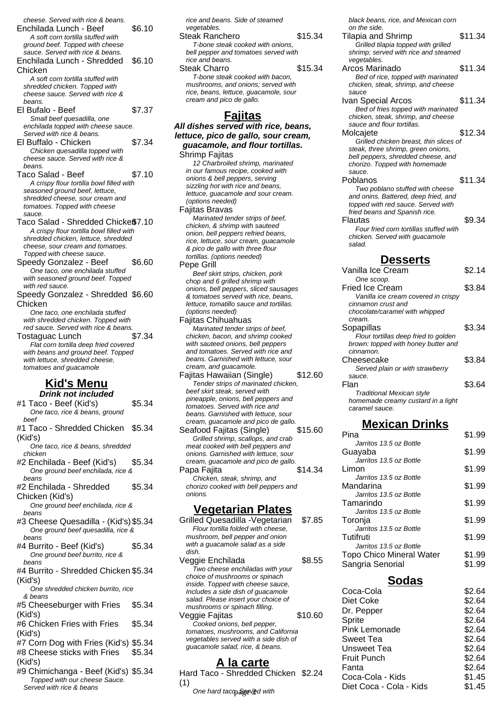cheese. Served with rice & beans. Enchilada Lunch - Beef \$6.10 A soft corn tortilla stuffed with ground beef. Topped with cheese sauce. Served with rice & beans. Enchilada Lunch - Shredded Chicken \$6.10 A soft corn tortilla stuffed with shredded chicken. Topped with cheese sauce. Served with rice & beans. El Bufalo - Beef \$7.37 Small beef quesadilla, one enchilada topped with cheese sauce. Served with rice & beans. El Buffalo - Chicken \$7.34 Chicken quesadilla topped with cheese sauce. Served with rice & beans. Taco Salad - Beef \$7.10 A crispy flour tortilla bowl filled with seasoned ground beef, lettuce, shredded cheese, sour cream and tomatoes. Topped with cheese sauce. Taco Salad - Shredded Chicke \$7.10 A crispy flour tortilla bowl filled with shredded chicken, lettuce, shredded cheese, sour cream and tomatoes. Topped with cheese sauce. Speedy Gonzalez - Beef \$6.60 One taco, one enchilada stuffed with seasoned ground beef. Topped with red sauce. Speedy Gonzalez - Shredded \$6.60 Chicken One taco, one enchilada stuffed with shredded chicken. Topped with red sauce. Served with rice & beans. Tostaguac Lunch \$7.34 Flat corn tortilla deep fried covered with beans and ground beef. Topped with lettuce, shredded cheese. tomatoes and guacamole **Kid's Menu Drink not included**  $#1$  Taco - Beef (Kid's)  $$5.34$ One taco, rice & beans, ground beef #1 Taco - Shredded Chicken (Kid's) \$5.34 One taco, rice & beans, shredded chicken #2 Enchilada - Beef (Kid's) \$5.34

- One ground beef enchilada, rice & beans
- #2 Enchilada Shredded Chicken (Kid's) \$5.34

One ground beef enchilada, rice & beans

- #3 Cheese Quesadilla (Kid's)\$5.34 One ground beef quesadilla, rice & beans
- #4 Burrito Beef (Kid's) \$5.34 One ground beef burrito, rice & beans
- #4 Burrito Shredded Chicken \$5.34 (Kid's)
- One shredded chicken burrito, rice & beans
- #5 Cheeseburger with Fries (Kid's) \$5.34
- #6 Chicken Fries with Fries (Kid's) \$5.34
- #7 Corn Dog with Fries (Kid's) \$5.34
- #8 Cheese sticks with Fries (Kid's) \$5.34
- #9 Chimichanga Beef (Kid's) \$5.34 Topped with our cheese Sauce. Served with rice & beans

rice and beans. Side of steamed vegetables. Steak Ranchero  $$15.34$ T-bone steak cooked with onions, bell pepper and tomatoes served with rice and beans. Steak Charro \$15.34 T-bone steak cooked with bacon, mushrooms, and onions; served with rice, beans, lettuce, guacamole, sour cream and pico de gallo. **Fajitas All dishes served with rice, beans, lettuce, pico de gallo, sour cream, guacamole, and flour tortillas.** Shrimp Fajitas 12 Charbroiled shrimp, marinated in our famous recipe, cooked with onions & bell peppers, serving sizzling hot with rice and beans, lettuce, guacamole and sour cream. (options needed) Fajitas Bravas Marinated tender strips of beef, chicken, & shrimp with sauteed onion, bell peppers refried beans, rice, lettuce, sour cream, guacamole & pico de gallo with three flour tortillas. (options needed) Pepe Grill Beef skirt strips, chicken, pork chop and 6 grilled shrimp with onions, bell peppers, sliced sausages

lettuce, tomatillo sauce and tortillas. (options needed) Fajitas Chihuahuas Marinated tender strips of beef, chicken, bacon, and shrimp cooked with sauteed onions, bell peppers and tomatoes. Served with rice and beans. Garnished with lettuce, sour

& tomatoes served with rice, beans,

- cream, and guacamole. Fajitas Hawaiian (Single) \$12.60 Tender strips of marinated chicken, beef skirt steak, served with pineapple, onions, bell peppers and tomatoes. Served with rice and beans. Garnished with lettuce, sour cream, guacamole and pico de gallo. Seafood Fajitas (Single) \$15.60
- Grilled shrimp, scallops, and crab meat cooked with bell peppers and onions. Garnished with lettuce, sour cream, guacamole and pico de gallo. Papa Fajita **\$14.34** Chicken, steak, shrimp, and

chorizo cooked with bell peppers and onions.

#### **Vegetarian Plates**

Grilled Quesadilla -Vegetarian \$7.85 Flour tortilla folded with cheese, mushroom, bell pepper and onion with a guacamole salad as a side dish. Veggie Enchilada  $$8.55$ Two cheese enchiladas with your choice of mushrooms or spinach inside. Topped with cheese sauce, Includes a side dish of guacamole salad. Please insert your choice of mushrooms or spinach filling. Veggie Faiitas **\$10.60** Cooked onions, bell pepper, tomatoes, mushrooms, and California vegetables served with a side dish of guacamole salad, rice, & beans.

#### **A la carte**

Hard Taco - Shredded Chicken \$2.24 (1)

One hard taco. Seeved with

black beans, rice, and Mexican corn on the side.

| on the side.                           |         |
|----------------------------------------|---------|
| Tilapia and Shrimp                     | \$11.34 |
| Grilled tilapia topped with grilled    |         |
| shrimp; served with rice and steamed   |         |
| vegetables.                            |         |
| Arcos Marinado                         | \$11.34 |
| Bed of rice, topped with marinated     |         |
| chicken, steak, shrimp, and cheese     |         |
| sauce                                  |         |
| Ivan Special Arcos                     | \$11.34 |
| Bed of fries topped with marinated     |         |
| chicken, steak, shrimp, and cheese     |         |
| sauce and flour tortillas.             |         |
| Molcajete                              | \$12.34 |
| Grilled chicken breast, thin slices of |         |
| steak, three shrimp, green onions,     |         |
| bell peppers, shredded cheese, and     |         |
| chorizo. Topped with homemade          |         |
| sauce.                                 |         |
| Poblanos                               | \$11.34 |
| Two poblano stuffed with cheese        |         |
| and onins. Battered, deep fried, and   |         |
| topped with red sauce. Served with     |         |
| fried beans and Spanish rice.          |         |
| Flautas                                | \$9.34  |
| Four fried corn tortillas stuffed with |         |
| chicken. Served with guacamole         |         |
| salad.                                 |         |
|                                        |         |

#### **Desserts**

| Vanilla Ice Cream                    | \$2.14 |
|--------------------------------------|--------|
| One scoop.                           |        |
| <b>Fried Ice Cream</b>               | \$3.84 |
| Vanilla ice cream covered in crispy  |        |
| cinnamon crust and                   |        |
| chocolate/caramel with whipped       |        |
| cream.                               |        |
| Sopapillas                           | \$3.34 |
| Flour tortillas deep fried to golden |        |
| brown: topped with honey butter and  |        |
| cinnamon.                            |        |
| Cheesecake                           | \$3.84 |
| Served plain or with strawberry      |        |
| sauce.                               |        |
| Flan                                 | \$3.64 |
| Traditional Mexican style            |        |
| homemade creamy custard in a light   |        |
| caramel sauce.                       |        |

#### **Mexican Drinks**

| Pina                     | \$1.99 |
|--------------------------|--------|
| Jarritos 13.5 oz Bottle  |        |
| Guayaba                  | \$1.99 |
| Jarritos 13.5 oz Bottle  |        |
| Limon                    | \$1.99 |
| Jarritos 13.5 oz Bottle  |        |
| Mandarina                | \$1.99 |
| Jarritos 13.5 oz Bottle  |        |
| Tamarindo                | \$1.99 |
| Jarritos 13.5 oz Bottle  |        |
| Toronja                  | \$1.99 |
| Jarritos 13.5 oz Bottle  |        |
| Tutifruti                | \$1.99 |
| Jarritos 13.5 oz Bottle  |        |
| Topo Chico Mineral Water | \$1.99 |
| Sangria Senorial         | \$1.99 |
|                          |        |

#### **Sodas**

| vitri crieese sauce.       |                         |        |
|----------------------------|-------------------------|--------|
| dish of guacamole          | Coca-Cola               | \$2.64 |
| sert your choice of        | Diet Coke               | \$2.64 |
| pinach filling.            | Dr. Pepper              | \$2.64 |
| \$10.60<br>s, bell pepper, | Sprite                  | \$2.64 |
| rooms, and California      | Pink Lemonade           | \$2.64 |
| ed with a side dish of     | Sweet Tea               | \$2.64 |
| d, rice, & beans.          | Unsweet Tea             | \$2.64 |
|                            | <b>Fruit Punch</b>      | \$2.64 |
| a carte                    | Fanta                   | \$2.64 |
| nredded Chicken \$2.24     | Coca-Cola - Kids        | \$1.45 |
| pa§erved with              | Diet Coca - Cola - Kids | \$1.45 |
|                            |                         |        |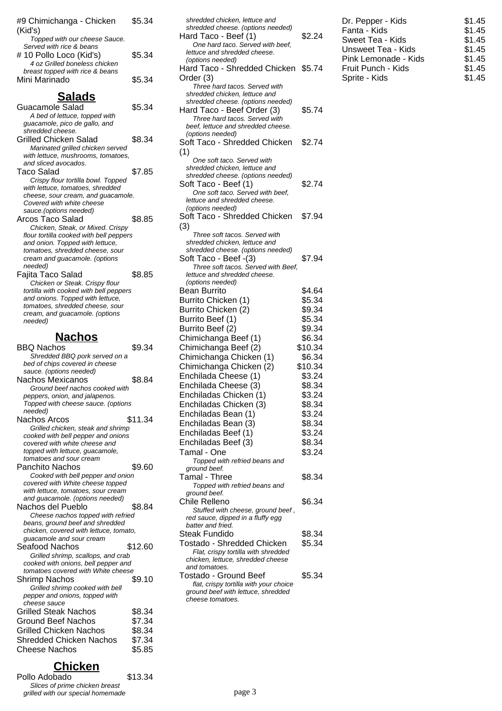| #9 Chimichanga - Chicken<br>(Kid's)                                         | \$5.34           |
|-----------------------------------------------------------------------------|------------------|
| Topped with our cheese Sauce.                                               |                  |
| Served with rice & beans<br># 10 Pollo Loco (Kid's)                         | \$5.34           |
| 4 oz Grilled boneless chicken<br>breast topped with rice & beans            |                  |
| Mini Marinado                                                               | \$5.34           |
| <u>Salads</u>                                                               |                  |
| Guacamole Salad                                                             | \$5.34           |
| A bed of lettuce, topped with<br>guacamole, pico de gallo, and              |                  |
| shredded cheese.                                                            |                  |
| <b>Grilled Chicken Salad</b><br>Marinated grilled chicken served            | \$8.34           |
| with lettuce, mushrooms, tomatoes,                                          |                  |
| and sliced avocados.<br>Taco Salad                                          | \$7.85           |
| Crispy flour tortilla bowl. Topped                                          |                  |
| with lettuce, tomatoes, shredded                                            |                  |
| cheese, sour cream, and quacamole.<br>Covered with white cheese             |                  |
| sauce.(options needed)                                                      |                  |
| Arcos Taco Salad                                                            | \$8.85           |
| Chicken, Steak, or Mixed. Crispy<br>flour tortilla cooked with bell peppers |                  |
| and onion. Topped with lettuce,                                             |                  |
| tomatoes, shredded cheese, sour<br>cream and guacamole. (options            |                  |
| needed)                                                                     |                  |
| Fajita Taco Salad                                                           | \$8.85           |
| Chicken or Steak. Crispy flour<br>tortilla with cooked with bell peppers    |                  |
| and onions. Topped with lettuce,                                            |                  |
| tomatoes, shredded cheese, sour                                             |                  |
| cream, and guacamole. (options<br>needed)                                   |                  |
|                                                                             |                  |
|                                                                             |                  |
| <b>Nachos</b>                                                               |                  |
| <b>BBQ Nachos</b>                                                           | \$9.34           |
| Shredded BBQ pork served on a<br>bed of chips covered in cheese             |                  |
| sauce. (options needed)                                                     |                  |
| Nachos Mexicanos                                                            | \$8.84           |
| Ground beef nachos cooked with<br>peppers, onion, and jalapenos.            |                  |
| Topped with cheese sauce. (options                                          |                  |
| needed)<br>Nachos Arcos                                                     | \$11.34          |
| Grilled chicken, steak and shrimp                                           |                  |
| cooked with bell pepper and onions<br>covered with white cheese and         |                  |
| topped with lettuce, guacamole,                                             |                  |
| tomatoes and sour cream                                                     |                  |
| <b>Panchito Nachos</b><br>Cooked with bell pepper and onion                 | \$9.60           |
| covered with White cheese topped                                            |                  |
| with lettuce, tomatoes, sour cream                                          |                  |
| and guacamole. (options needed)<br>Nachos del Pueblo                        | \$8.84           |
| Cheese nachos topped with refried                                           |                  |
| beans, ground beef and shredded                                             |                  |
| chicken, covered with lettuce, tomato,<br>guacamole and sour cream          |                  |
| Seafood Nachos                                                              | \$12.60          |
| Grilled shrimp, scallops, and crab<br>cooked with onions, bell pepper and   |                  |
| tomatoes covered with White cheese                                          |                  |
| <b>Shrimp Nachos</b>                                                        | \$9.10           |
| Grilled shrimp cooked with bell<br>pepper and onions, topped with           |                  |
| cheese sauce                                                                |                  |
| <b>Grilled Steak Nachos</b>                                                 | \$8.34           |
| <b>Ground Beef Nachos</b><br><b>Grilled Chicken Nachos</b>                  | \$7.34           |
| <b>Shredded Chicken Nachos</b>                                              | \$8.34<br>\$7.34 |
| Cheese Nachos                                                               | \$5.85           |

#### **Chicken**

Pollo Adobado  $$13.34$ Slices of prime chicken breast grilled with our special homemade

| Hard Taco - Beef (1)                                           | \$2.24  |
|----------------------------------------------------------------|---------|
| One hard taco. Served with beef,                               |         |
| lettuce and shredded cheese.                                   |         |
| (options needed)                                               |         |
| Hard Taco - Shredded Chicken \$5.74                            |         |
| Order (3)                                                      |         |
| Three hard tacos. Served with<br>shredded chicken, lettuce and |         |
| shredded cheese. (options needed)                              |         |
| Hard Taco - Beef Order (3)                                     | \$5.74  |
| Three hard tacos. Served with                                  |         |
| beef, lettuce and shredded cheese.                             |         |
| (options needed)                                               |         |
| Soft Taco - Shredded Chicken                                   | \$2.74  |
| (1)                                                            |         |
| One soft taco. Served with                                     |         |
| shredded chicken, lettuce and                                  |         |
| shredded cheese. (options needed)                              |         |
| Soft Taco - Beef (1)                                           | \$2.74  |
| One soft taco. Served with beef,                               |         |
| lettuce and shredded cheese.<br>(options needed)               |         |
| Soft Taco - Shredded Chicken                                   | \$7.94  |
| (3)                                                            |         |
| Three soft tacos. Served with                                  |         |
| shredded chicken, lettuce and                                  |         |
| shredded cheese. (options needed)                              |         |
| Soft Taco - Beef -(3)                                          | \$7.94  |
| Three soft tacos. Served with Beef,                            |         |
| lettuce and shredded cheese.                                   |         |
| (options needed)                                               |         |
| <b>Bean Burrito</b>                                            | \$4.64  |
| Burrito Chicken (1)                                            | \$5.34  |
| Burrito Chicken (2)                                            | \$9.34  |
| Burrito Beef (1)                                               | \$5.34  |
| Burrito Beef (2)                                               | \$9.34  |
| Chimichanga Beef (1)                                           | \$6.34  |
| Chimichanga Beef (2)                                           | \$10.34 |
| Chimichanga Chicken (1)                                        | \$6.34  |
| Chimichanga Chicken (2)                                        | \$10.34 |
| Enchilada Cheese (1)                                           | \$3.24  |
| Enchilada Cheese (3)                                           | \$8.34  |
| Enchiladas Chicken (1)                                         | \$3.24  |
| Enchiladas Chicken (3)                                         | \$8.34  |
| Enchiladas Bean (1)                                            | \$3.24  |
| Enchiladas Bean (3)                                            | \$8.34  |
|                                                                | \$3.24  |
| Enchiladas Beef (1)                                            |         |
| Enchiladas Beef (3)                                            | \$8.34  |
| Tamal - One                                                    | \$3.24  |
| Topped with refried beans and<br>ground beef.                  |         |
| Tamal - Three                                                  | \$8.34  |
| Topped with refried beans and                                  |         |
| ground beef.                                                   |         |
| Chile Relleno                                                  | \$6.34  |
| Stuffed with cheese, ground beef,                              |         |
| red sauce, dipped in a fluffy egg                              |         |
| batter and fried.                                              |         |
| Steak Fundido                                                  | \$8.34  |
| Tostado - Shredded Chicken                                     | \$5.34  |
| Flat, crispy tortilla with shredded                            |         |
| chicken, lettuce, shredded cheese<br>and tomatoes.             |         |
| Tostado - Ground Beef                                          | \$5.34  |
| flat, crispy tortilla with your choice                         |         |
| ground beef with lettuce, shredded                             |         |
| cheese tomatoes.                                               |         |
|                                                                |         |

shredded chicken, lettuce and shredded cheese. (options needed)

| Dr. Pepper - Kids    | \$1.45 |
|----------------------|--------|
| Fanta - Kids         | \$1.45 |
| Sweet Tea - Kids     | \$1.45 |
| Unsweet Tea - Kids   | \$1.45 |
| Pink Lemonade - Kids | \$1.45 |
| Fruit Punch - Kids   | \$1.45 |
| Sprite - Kids        | \$1.45 |
|                      |        |